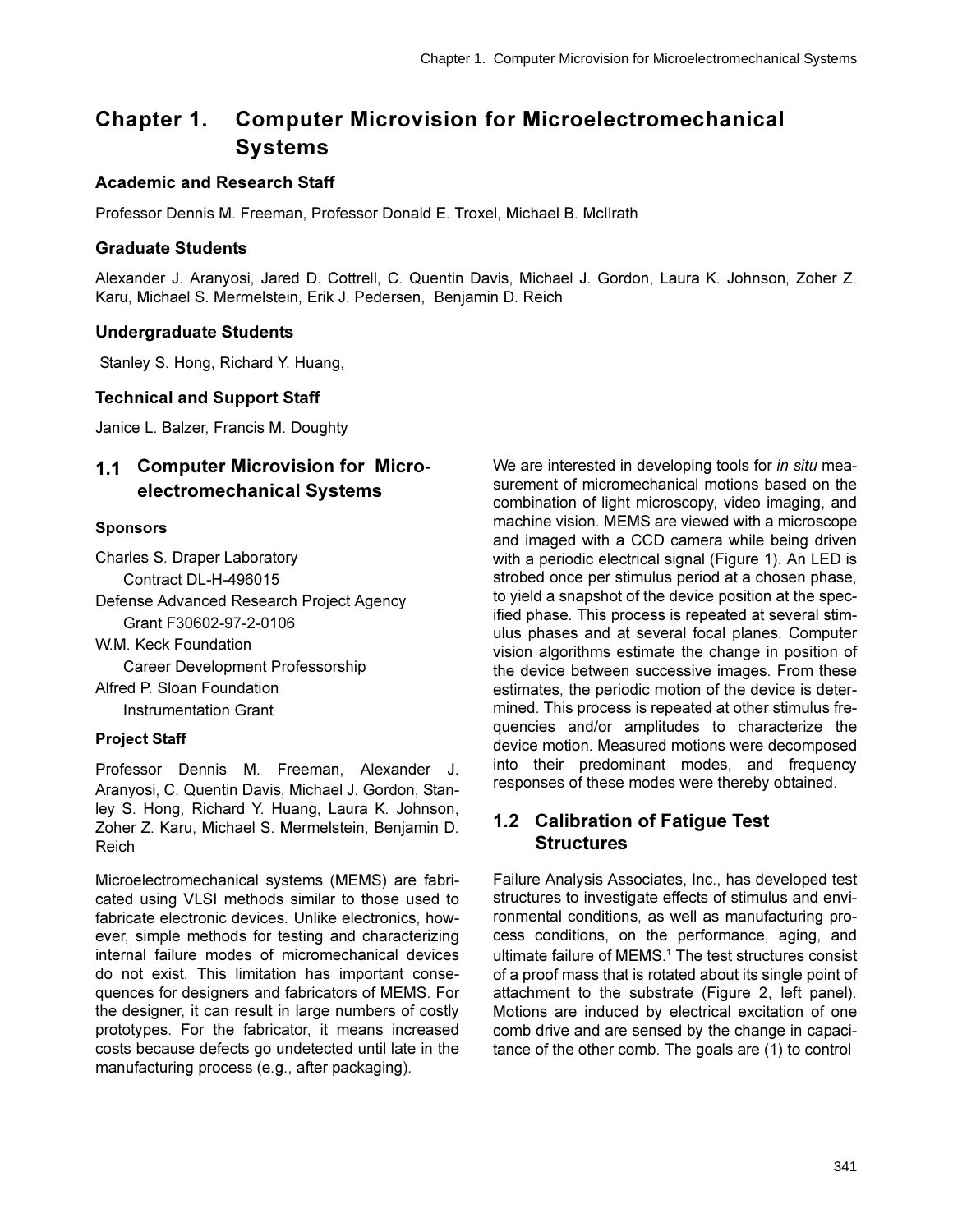# **Chapter 1. Computer Microvision for Microelectromechanical Systems**

### **Academic and Research Staff**

Professor Dennis M. Freeman, Professor Donald E. Troxel, Michael B. McIlrath

### **Graduate Students**

Alexander J. Aranyosi, Jared D. Cottrell, C. Quentin Davis, Michael J. Gordon, Laura K. Johnson, Zoher Z. Karu, Michael S. Mermelstein, Erik J. Pedersen, Benjamin D. Reich

### **Undergraduate Students**

Stanley S. Hong, Richard Y. Huang,

### **Technical and Support Staff**

Janice L. Balzer, Francis M. Doughty

# 1.1 Computer Microvision for Microelectromechanical Systems

### **Sponsors**

Charles S. Draper Laboratory Contract DL-H-496015

Defense Advanced Research Project Agency Grant F30602-97-2-0106

W.M. Keck Foundation Career Development Professorship Alfred P. Sloan Foundation **Instrumentation Grant** 

### **Project Staff**

Professor Dennis M. Freeman, Alexander J. Aranyosi, C. Quentin Davis, Michael J. Gordon, Stanley S. Hong, Richard Y. Huang, Laura K. Johnson, Zoher Z. Karu, Michael S. Mermelstein, Benjamin D. Reich

Microelectromechanical systems (MEMS) are fabricated using VLSI methods similar to those used to fabricate electronic devices. Unlike electronics, however, simple methods for testing and characterizing internal failure modes of micromechanical devices do not exist. This limitation has important consequences for designers and fabricators of MEMS. For the designer, it can result in large numbers of costly prototypes. For the fabricator, it means increased costs because defects go undetected until late in the manufacturing process (e.g., after packaging).

We are interested in developing tools for in situ measurement of micromechanical motions based on the combination of light microscopy, video imaging, and machine vision. MEMS are viewed with a microscope and imaged with a CCD camera while being driven with a periodic electrical signal (Figure 1). An LED is strobed once per stimulus period at a chosen phase, to yield a snapshot of the device position at the specified phase. This process is repeated at several stimulus phases and at several focal planes. Computer vision algorithms estimate the change in position of the device between successive images. From these estimates, the periodic motion of the device is determined. This process is repeated at other stimulus frequencies and/or amplitudes to characterize the device motion. Measured motions were decomposed into their predominant modes, and frequency responses of these modes were thereby obtained.

## 1.2 Calibration of Fatigue Test **Structures**

Failure Analysis Associates, Inc., has developed test structures to investigate effects of stimulus and environmental conditions, as well as manufacturing process conditions, on the performance, aging, and ultimate failure of MEMS.<sup>1</sup> The test structures consist of a proof mass that is rotated about its single point of attachment to the substrate (Figure 2, left panel). Motions are induced by electrical excitation of one comb drive and are sensed by the change in capacitance of the other comb. The goals are (1) to control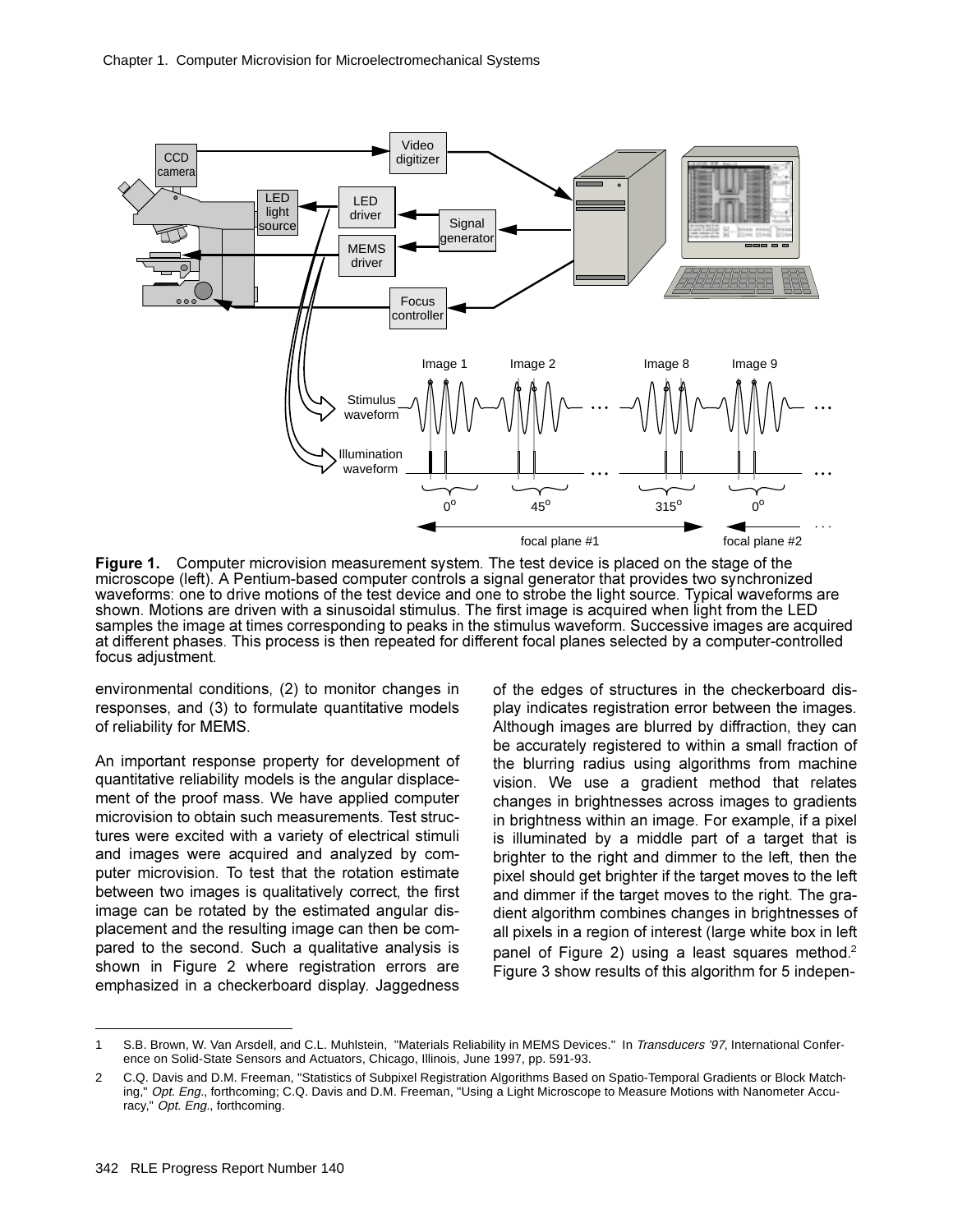

**Figure 1.** Computer microvision measurement system. The test device is placed on the stage of the microscope (left). A Pentium-based computer controls a signal generator that provides two synchronized waveforms: one to drive motions of the test device and one to strobe the light source. Typical waveforms are shown. Motions are driven with a sinusoidal stimulus. The first image is acquired when light from the LED samples the image at times corresponding to peaks in the stimulus waveform. Successive images are acquired at different phases. This process is then repeated for different focal planes selected by a computer-controlled focus adjustment.

environmental conditions, (2) to monitor changes in responses, and (3) to formulate quantitative models of reliability for MEMS.

An important response property for development of quantitative reliability models is the angular displacement of the proof mass. We have applied computer microvision to obtain such measurements. Test structures were excited with a variety of electrical stimuli and images were acquired and analyzed by computer microvision. To test that the rotation estimate between two images is qualitatively correct, the first image can be rotated by the estimated angular displacement and the resulting image can then be compared to the second. Such a qualitative analysis is shown in Figure 2 where registration errors are emphasized in a checkerboard display. Jaggedness

of the edges of structures in the checkerboard display indicates registration error between the images. Although images are blurred by diffraction, they can be accurately registered to within a small fraction of the blurring radius using algorithms from machine vision. We use a gradient method that relates changes in brightnesses across images to gradients in brightness within an image. For example, if a pixel is illuminated by a middle part of a target that is brighter to the right and dimmer to the left, then the pixel should get brighter if the target moves to the left and dimmer if the target moves to the right. The gradient algorithm combines changes in brightnesses of all pixels in a region of interest (large white box in left panel of Figure 2) using a least squares method.<sup>2</sup> Figure 3 show results of this algorithm for 5 indepen-

<sup>1</sup> S.B. Brown, W. Van Arsdell, and C.L. Muhlstein, "Materials Reliability in MEMS Devices." In Transducers '97, International Conference on Solid-State Sensors and Actuators, Chicago, Illinois, June 1997, pp. 591-93.

<sup>2</sup> C.Q. Davis and D.M. Freeman, "Statistics of Subpixel Registration Algorithms Based on Spatio-Temporal Gradients or Block Matching," Opt. Eng., forthcoming; C.Q. Davis and D.M. Freeman, "Using a Light Microscope to Measure Motions with Nanometer Accuracy," Opt. Eng., forthcoming.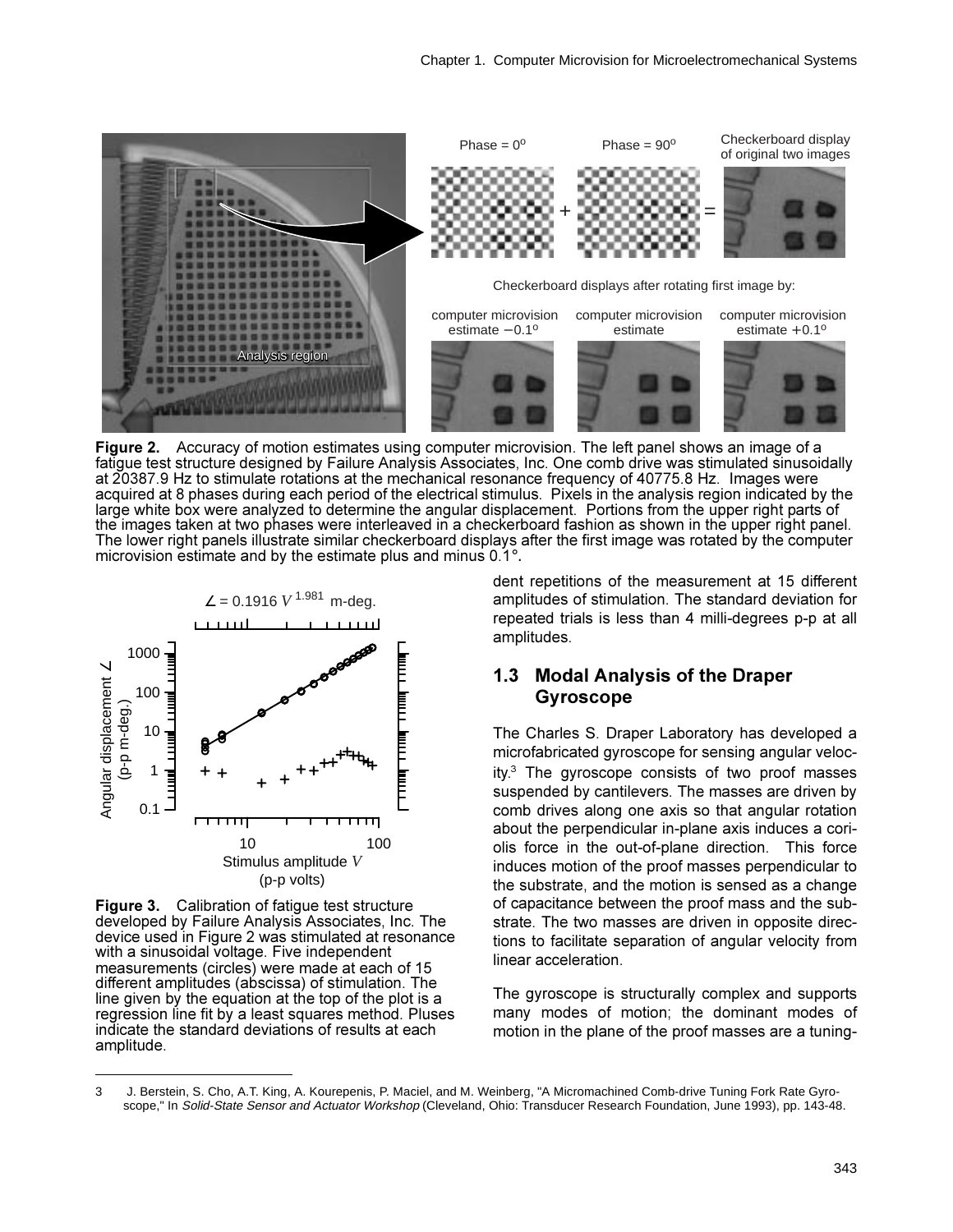

Figure 2. Accuracy of motion estimates using computer microvision. The left panel shows an image of a fatigue test structure designed by Failure Analysis Associates, Inc. One comb drive was stimulated sinusoidally at 20387.9 Hz to stimulate rotations at the mechanical resonance frequency of 40775.8 Hz. Images were acquired at 8 phases during each period of the electrical stimulus. Pixels in the analysis region indicated by the large white box were analyzed to determine the angular displacement. Portions from the upper right parts of the images taken at two phases were interleaved in a checkerboard fashion as shown in the upper right panel. The lower right panels illustrate similar checkerboard displays after the first image was rotated by the computer microvision estimate and by the estimate plus and minus 0.1°.



Figure 3. Calibration of fatigue test structure developed by Failure Analysis Associates, Inc. The device used in Figure 2 was stimulated at resonance with a sinusoidal voltage. Five independent measurements (circles) were made at each of 15 different amplitudes (abscissa) of stimulation. The line given by the equation at the top of the plot is a regression line fit by a least squares method. Pluses indicate the standard deviations of results at each amplitude.

dent repetitions of the measurement at 15 different amplitudes of stimulation. The standard deviation for repeated trials is less than 4 milli-degrees p-p at all amplitudes.

### 1.3 Modal Analysis of the Draper **Gyroscope**

The Charles S. Draper Laboratory has developed a microfabricated gyroscope for sensing angular velocity.<sup>3</sup> The avroscope consists of two proof masses suspended by cantilevers. The masses are driven by comb drives along one axis so that angular rotation about the perpendicular in-plane axis induces a coriolis force in the out-of-plane direction. This force induces motion of the proof masses perpendicular to the substrate, and the motion is sensed as a change of capacitance between the proof mass and the substrate. The two masses are driven in opposite directions to facilitate separation of angular velocity from linear acceleration.

The gyroscope is structurally complex and supports many modes of motion; the dominant modes of motion in the plane of the proof masses are a tuning-

<sup>3</sup> J. Berstein, S. Cho, A.T. King, A. Kourepenis, P. Maciel, and M. Weinberg, "A Micromachined Comb-drive Tuning Fork Rate Gyroscope," In Solid-State Sensor and Actuator Workshop (Cleveland, Ohio: Transducer Research Foundation, June 1993), pp. 143-48.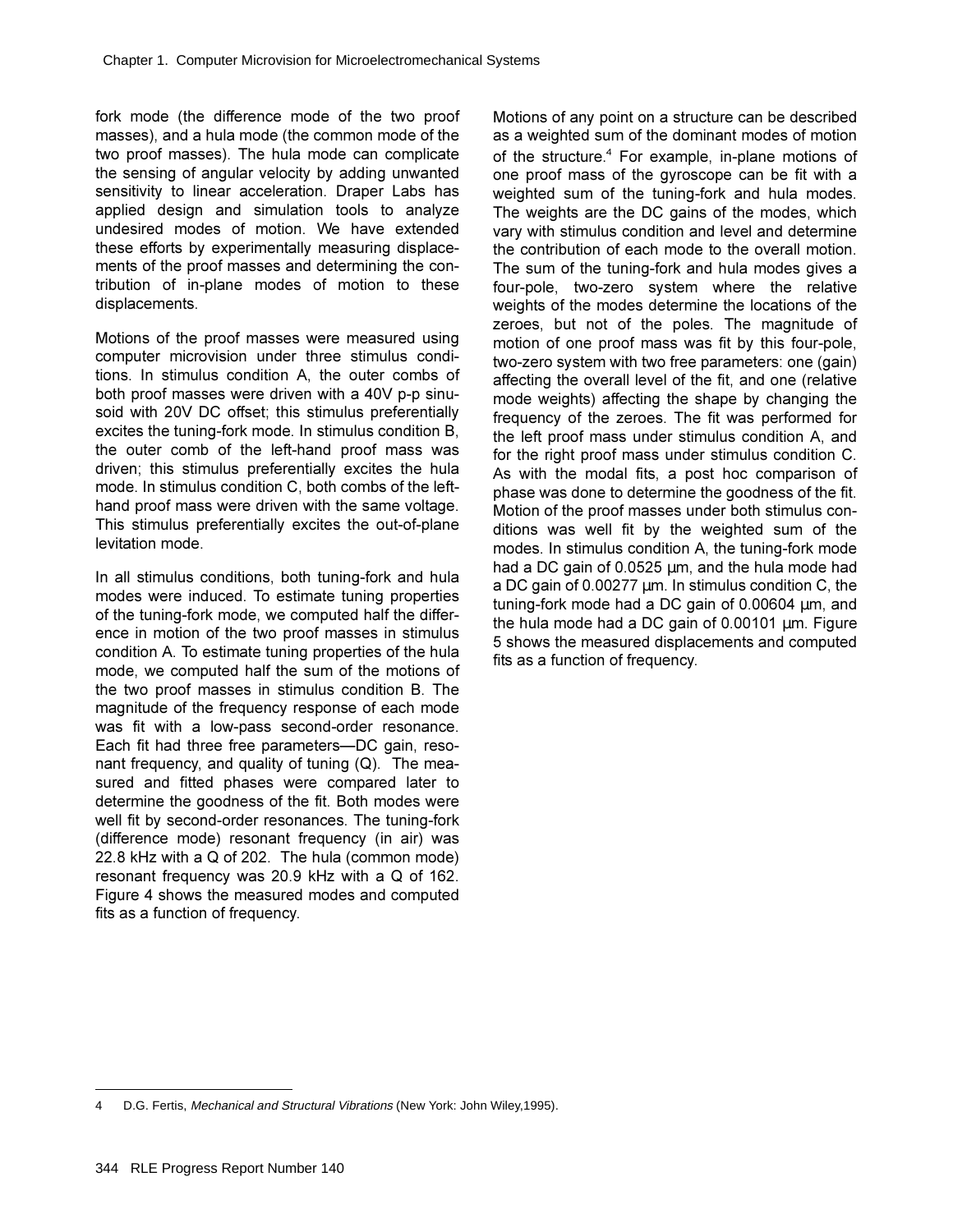fork mode (the difference mode of the two proof masses), and a hula mode (the common mode of the two proof masses). The hula mode can complicate the sensing of angular velocity by adding unwanted sensitivity to linear acceleration. Draper Labs has applied design and simulation tools to analyze undesired modes of motion. We have extended these efforts by experimentally measuring displacements of the proof masses and determining the contribution of in-plane modes of motion to these displacements.

Motions of the proof masses were measured using computer microvision under three stimulus conditions. In stimulus condition A, the outer combs of both proof masses were driven with a 40V p-p sinusoid with 20V DC offset; this stimulus preferentially excites the tuning-fork mode. In stimulus condition B. the outer comb of the left-hand proof mass was driven; this stimulus preferentially excites the hula mode. In stimulus condition C, both combs of the lefthand proof mass were driven with the same voltage. This stimulus preferentially excites the out-of-plane levitation mode

In all stimulus conditions, both tuning-fork and hula modes were induced. To estimate tuning properties of the tuning-fork mode, we computed half the difference in motion of the two proof masses in stimulus condition A. To estimate tuning properties of the hula mode, we computed half the sum of the motions of the two proof masses in stimulus condition B. The magnitude of the frequency response of each mode was fit with a low-pass second-order resonance. Each fit had three free parameters-DC gain, resonant frequency, and quality of tuning  $(Q)$ . The measured and fitted phases were compared later to determine the goodness of the fit. Both modes were well fit by second-order resonances. The tuning-fork (difference mode) resonant frequency (in air) was  $22.8$  kHz with a Q of 202. The hula (common mode) resonant frequency was 20.9 kHz with a  $Q$  of 162. Figure 4 shows the measured modes and computed fits as a function of frequency.

Motions of any point on a structure can be described as a weighted sum of the dominant modes of motion of the structure.<sup>4</sup> For example, in-plane motions of one proof mass of the gyroscope can be fit with a weighted sum of the tuning-fork and hula modes. The weights are the DC gains of the modes, which vary with stimulus condition and level and determine the contribution of each mode to the overall motion. The sum of the tuning-fork and hula modes gives a four-pole, two-zero system where the relative weights of the modes determine the locations of the zeroes, but not of the poles. The magnitude of motion of one proof mass was fit by this four-pole, two-zero system with two free parameters: one (gain) affecting the overall level of the fit, and one (relative mode weights) affecting the shape by changing the frequency of the zeroes. The fit was performed for the left proof mass under stimulus condition A, and for the right proof mass under stimulus condition C. As with the modal fits, a post hoc comparison of phase was done to determine the goodness of the fit. Motion of the proof masses under both stimulus conditions was well fit by the weighted sum of the modes. In stimulus condition A, the tuning-fork mode had a DC gain of  $0.0525 \mu m$ , and the hula mode had a DC gain of 0.00277  $\mu$ m. In stimulus condition C, the tuning-fork mode had a DC gain of 0.00604  $\mu$ m, and the hula mode had a DC gain of  $0.00101 \mu m$ . Figure 5 shows the measured displacements and computed fits as a function of frequency.

D.G. Fertis, Mechanical and Structural Vibrations (New York: John Wiley,1995).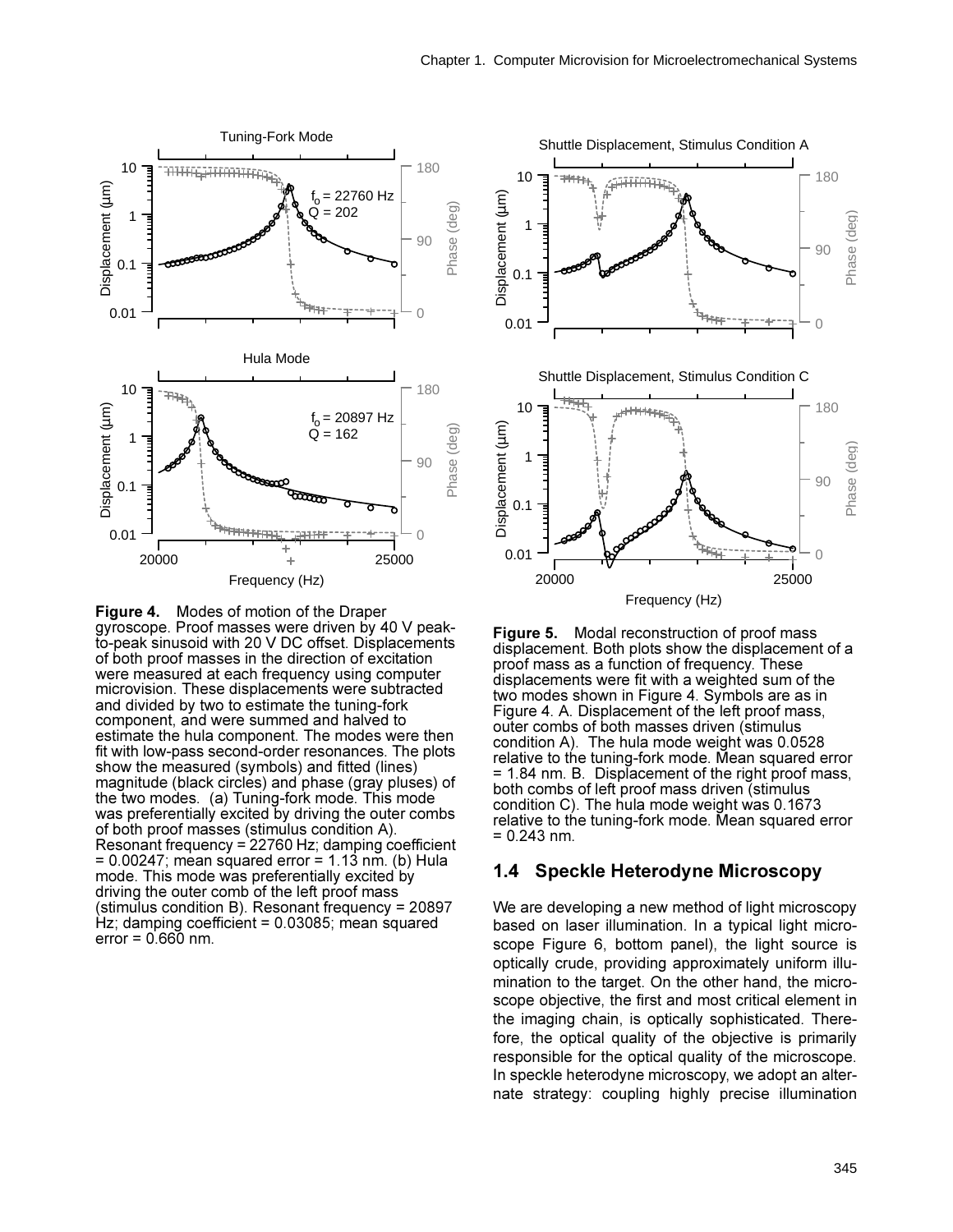





Figure 5. Modal reconstruction of proof mass displacement. Both plots show the displacement of a proof mass as a function of frequency. These displacements were fit with a weighted sum of the two modes shown in Figure 4. Symbols are as in Figure 4. A. Displacement of the left proof mass, outer combs of both masses driven (stimulus condition A). The hula mode weight was 0.0528 relative to the tuning-fork mode. Mean squared error = 1.84 nm. B. Displacement of the right proof mass, both combs of left proof mass driven (stimulus condition C). The hula mode weight was 0.1673 relative to the tuning-fork mode. Mean squared error  $= 0.243$  nm.

#### 1.4 Speckle Heterodyne Microscopy

We are developing a new method of light microscopy based on laser illumination. In a typical light microscope Figure 6, bottom panel), the light source is optically crude, providing approximately uniform illumination to the target. On the other hand, the microscope objective, the first and most critical element in the imaging chain, is optically sophisticated. Therefore, the optical quality of the objective is primarily responsible for the optical quality of the microscope. In speckle heterodyne microscopy, we adopt an alternate strategy: coupling highly precise illumination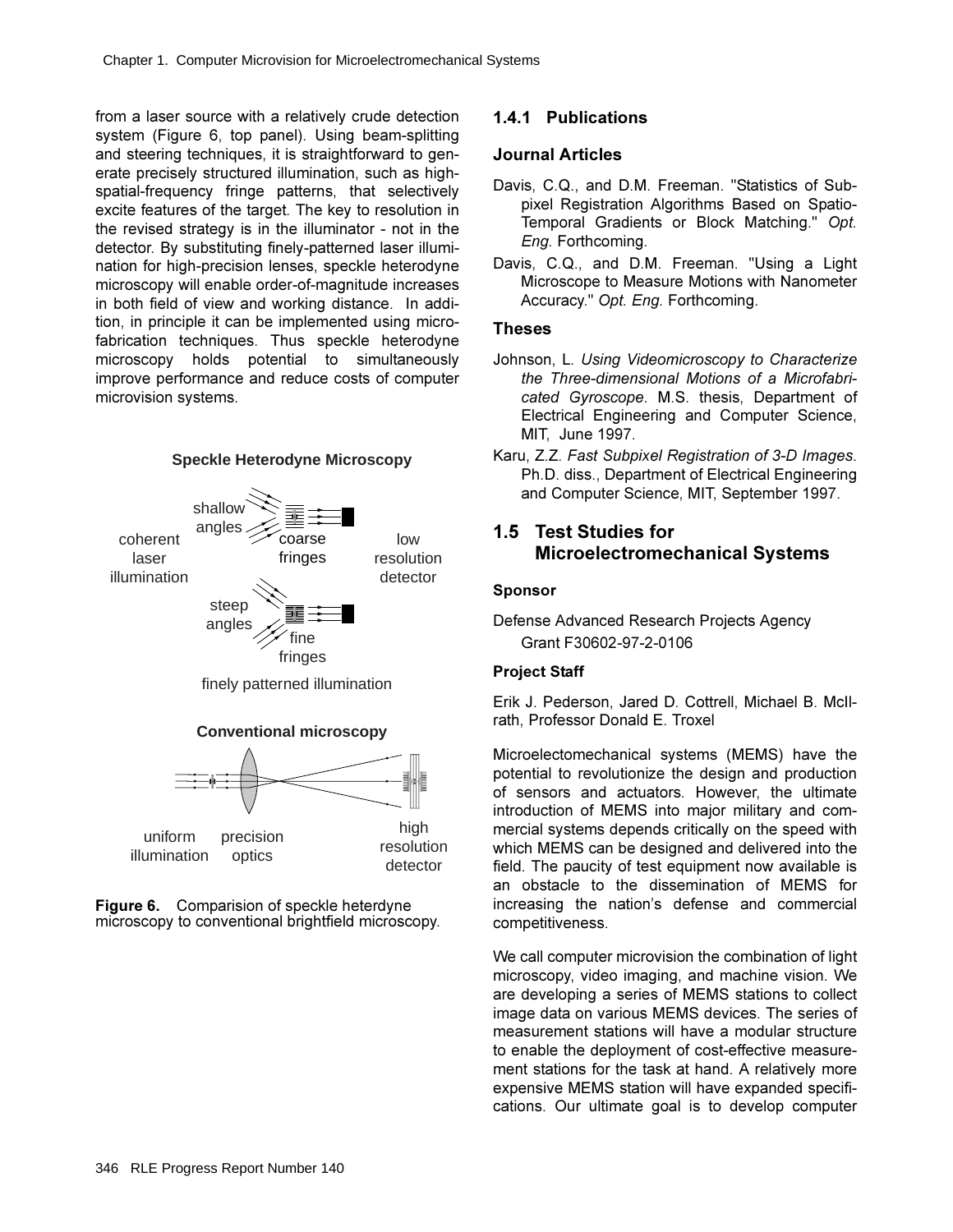from a laser source with a relatively crude detection system (Figure 6, top panel). Using beam-splitting and steering techniques, it is straightforward to generate precisely structured illumination, such as highspatial-frequency fringe patterns, that selectively excite features of the target. The key to resolution in the revised strategy is in the illuminator - not in the detector. By substituting finely-patterned laser illumination for high-precision lenses, speckle heterodyne microscopy will enable order-of-magnitude increases in both field of view and working distance. In addition, in principle it can be implemented using microfabrication techniques. Thus speckle heterodyne microscopy holds potential to simultaneously improve performance and reduce costs of computer microvision systems.



**Figure 6.** Comparision of speckle heterdyne microscopy to conventional brightfield microscopy.

# **1.4.1 Publications**

### **Journal Articles**

- Davis, C.Q., and D.M. Freeman. "Statistics of Subpixel Registration Algorithms Based on Spatio-Temporal Gradients or Block Matching." Opt. *Eng.* Forthcoming.
- Davis. C.Q.. and D.M. Freeman. "Using a Light Microscope to Measure Motions with Nanometer Accuracy." Opt. Eng. Forthcoming.

### **Theses**

- Johnson, L. Using Videomicroscopy to Characterize the Three-dimensional Motions of a Microfabri*cated Gyroscope.* M.S. thesis, Department of Electrical Engineering and Computer Science, MIT, June 1997.
- Karu, Z.Z. Fast Subpixel Registration of 3-D Images. Ph.D. diss., Department of Electrical Engineering and Computer Science, MIT, September 1997.

# **1.5 Test Studies for Microelectromechanical Systems**

#### **Sponsor**

### **Project Staff**

Erik J. Pederson, Jared D. Cottrell, Michael B. McIIrath, Professor Donald E. Troxel

Microelectomechanical systems (MEMS) have the potential to revolutionize the design and production of sensors and actuators. However, the ultimate introduction of MEMS into major military and commercial systems depends critically on the speed with which MEMS can be designed and delivered into the field. The paucity of test equipment now available is an obstacle to the dissemination of MEMS for increasing the nation's defense and commercial competitiveness.

We call computer microvision the combination of light microscopy, video imaging, and machine vision. We are developing a series of MEMS stations to collect image data on various MEMS devices. The series of measurement stations will have a modular structure to enable the deployment of cost-effective measurement stations for the task at hand. A relatively more expensive MEMS station will have expanded specifications. Our ultimate goal is to develop computer

Defense Advanced Research Projects Agency Grant F30602-97-2-0106